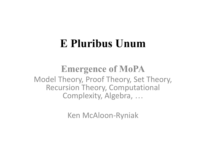### **E Pluribus Unum**

**Emergence of MoPA** Model Theory, Proof Theory, Set Theory, Recursion Theory, Computational Complexity, Algebra, …

Ken McAloon-Ryniak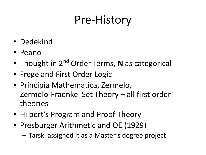## Pre-History

- Dedekind
- Peano
- Thought in 2<sup>nd</sup> Order Terms, N as categorical
- Frege and First Order Logic
- Principia Mathematica, Zermelo, Zermelo-Fraenkel Set Theory – all first order theories
- Hilbert's Program and Proof Theory
- Presburger Arithmetic and QE (1929)
	- Tarski assigned it as a Master's degree project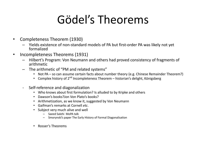### Gödel's Theorems

- Completeness Theorem (1930)
	- Yields existence of non-standard models of PA but first-order PA was likely not yet formalized
- Incompleteness Theorems (1931)
	- Hilbert's Program: Von Neumann and others had proved consistency of fragments of arithmetic
	- The arithmetic of "PM and related systems"
		- Not PA so can assume certain facts about number theory (e.g. Chinese Remainder Theorem?)
		- Complex history of  $2^{nd}$  Incompleteness Theorem historian's delight, Königsberg
	- Self-reference and diagonalization
		- Who knows about first formulation? Is alluded to by Kripke and others
		- Dawson's books?Jon Von Plato's books?
		- Arithmetization, as we know it, suggested by Von Neumann
		- Gaifman's remarks at Cornell *etc*.
		- Subject very much alive and well
			- Saeed Salehi MoPA talk
			- Smorynski's paper The Early History of Formal Diagonalisation
		- Rosser's Theorems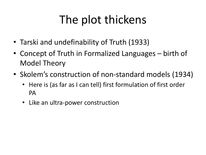# The plot thickens

- Tarski and undefinability of Truth (1933)
- Concept of Truth in Formalized Languages birth of Model Theory
- Skolem's construction of non-standard models (1934)
	- Here is (as far as I can tell) first formulation of first order PA
	- Like an ultra-power construction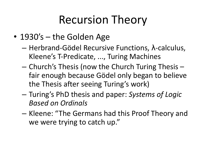### Recursion Theory

- 1930's the Golden Age
	- Herbrand-Gödel Recursive Functions, λ-calculus, Kleene's T-Predicate, ..., Turing Machines
	- Church's Thesis (now the Church Turing Thesis fair enough because Gödel only began to believe the Thesis after seeing Turing's work)
	- Turing's PhD thesis and paper: *Systems of Logic Based on Ordinals*
	- Kleene: "The Germans had this Proof Theory and we were trying to catch up."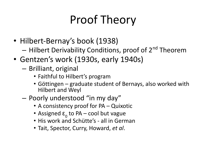# Proof Theory

- Hilbert-Bernay's book (1938)
	- Hilbert Derivability Conditions, proof of 2<sup>nd</sup> Theorem
- Gentzen's work (1930s, early 1940s)
	- Brilliant, original
		- Faithful to Hilbert's program
		- Göttingen graduate student of Bernays, also worked with Hilbert and Weyl
	- Poorly understood "in my day"
		- A consistency proof for PA Quixotic
		- Assigned  $\varepsilon_0$  to PA cool but vague
		- His work and Schütte's all in German
		- Tait, Spector, Curry, Howard, *et al*.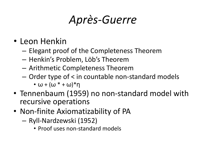### *Après-Guerre*

- Leon Henkin
	- Elegant proof of the Completeness Theorem
	- Henkin's Problem, Löb's Theorem
	- Arithmetic Completeness Theorem
	- Order type of < in countable non-standard models
		- $\cdot \omega + (\omega^* + \omega)^*$ η
- Tennenbaum (1959) no non-standard model with recursive operations
- Non-finite Axiomatizability of PA
	- Ryll-Nardzewski (1952)
		- Proof uses non-standard models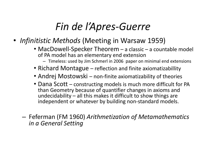#### *Fin de l'Apres-Guerre*

- *• Infinitistic Methods* (Meeting in Warsaw 1959)
	- MacDowell-Specker Theorem a classic a countable model of PA model has an elementary end extension
		- Timeless: used by Jim Schmerl in 2006 paper on minimal end extensions
	- Richard Montague reflection and finite axiomatizabillity
	- Andrej Mostowski non-finite axiomatizability of theories
	- Dana Scott constructing models is much more difficult for PA than Geometry because of quantifier changes in axioms and undecidability – all this makes it difficult to show things are independent or whatever by building non-standard models.
	- Feferman (FM 1960) *Arithmetization of Metamathematics in a General Setting*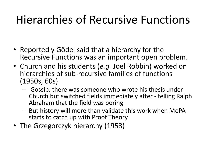## Hierarchies of Recursive Functions

- Reportedly Gödel said that a hierarchy for the Recursive Functions was an important open problem.
- Church and his students (*e.g.* Joel Robbin) worked on hierarchies of sub-recursive families of functions (1950s, 60s)
	- Gossip: there was someone who wrote his thesis under Church but switched fields immediately after - telling Ralph Abraham that the field was boring
	- But history will more than validate this work when MoPA starts to catch up with Proof Theory
- The Grzegorczyk hierarchy (1953)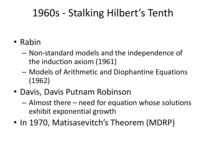#### 1960s - Stalking Hilbert's Tenth

- Rabin
	- Non-standard models and the independence of the induction axiom (1961)
	- Models of Arithmetic and Diophantine Equations (1962)
- Davis, Davis Putnam Robinson
	- Almost there need for equation whose solutions exhibit exponential growth
- In 1970, Matisasevitch's Theorem (MDRP)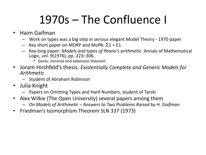# 1970s – The Confluence I

- Haim Gaifman
	- Work on types was a big step in serious elegant Model Theory 1970 paper
	- Key short paper on MDRP and MoPA: Σ1 = E1
	- Key long paper: *Models and types of Peano's arithmetic*. Annals of Mathematical Logic, vol. 9(1976), pp. 223–306.
		- Gems: minimal end extension theorem
- Joram Hirshfeld's thesis: *Existentially Complete and Generic Models for Arithmetic*
	- Student of Abraham Robinson
- Julia Knight
	- Papers on Omitting Types and Hanf Numbers, student of Tarski
- Alex Wilkie (The Open University) several papers among them
	- *– On Models of Arithmetic Answers to Two Problems Raised by H. Gaifman*
- Friedman's Isomorphism Theorem SLN 337 (1973)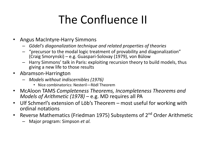# The Confluence II

- Angus MacIntyre-Harry Simmons
	- *– Gödel's diagonalization technique and related properties of theories*
	- "precursor to the modal logic treatment of provability and diagonalization" (Craig Smorynski) – e.g. Guaspari-Solovay (1979), von Bülow
	- Harry Simmons' talk in Paris: exploiting recursion theory to build models, thus giving a new life to those results
- Abramson-Harrington
	- *– Models without indiscernibles (1976)*
		- Nice combinatorics: Nesteril—Rödl Theorem
- McAloon TAMS *Completeness Theorems, Incompleteness Theorems and Models of Arithmetic (1978)* – e.g. MD requires all PA
- Ulf Schmerl's extension of Löb's Theorem most useful for working with ordinal notations
- Reverse Mathematics (Friedman 1975) Subsystems of 2<sup>nd</sup> Order Arithmetic
	- Major program: Simpson *et al.*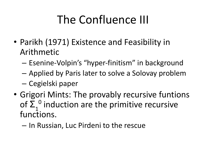# The Confluence III

- Parikh (1971) Existence and Feasibility in Arithmetic
	- Esenine-Volpin's "hyper-finitism" in background
	- Applied by Paris later to solve a Solovay problem
	- Cegielski paper
- Grigori Mints: The provably recursive funtions of  $\Sigma_1^0$  induction are the primitive recursive functions.
	- In Russian, Luc Pirdeni to the rescue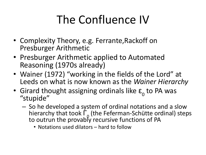# The Confluence IV

- Complexity Theory, e.g. Ferrante,Rackoff on Presburger Arithmetic
- Presburger Arithmetic applied to Automated Reasoning (1970s already)
- Wainer (1972) "working in the fields of the Lord" at Leeds on what is now known as the *Wainer Hierarchy*
- Girard thought assigning ordinals like  $\varepsilon_0$  to PA was "stupide"
	- So he developed a system of ordinal notations and a slow hierarchy that took Γ<sub>0</sub> (the Feferman-Schütte ordinal) steps to outrun the provably recursive functions of PA
		- Notations used dilators hard to follow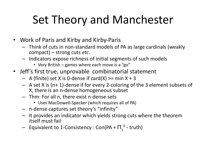# Set Theory and Manchester

- Work of Paris and Kirby and Kirby-Paris
	- Think of cuts in non-standard models of PA as large cardinals (weakly compact) – strong cuts *etc*.
	- Indicators expose richness of initial segments of such models
		- Very British games where each move is a "go"
- Jeff's first true, unprovable combinatorial statement
	- $-$  A (finite) set X is 0-dense if card(X) >= min X + 3
	- A set X is (n+ 1)-dense if for every 2-coloring of the 3 element subsets of X, there is an n-dense homogeneous subset
	- Thm: For all n, there exist n-dense sets
		- Uses MacDowell-Specker (which requires all of PA)
	- n-dense captures set theory's "infinity"
	- It provides an indicator which yields strong cuts where the theorem itself must fail
	- $-$  Equivalent to 1-Consistency : Con(PA +  $\Pi _{_{1}}^{~~0}$  truth)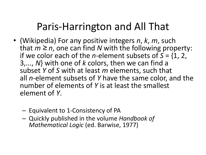#### Paris-Harrington and All That

- (Wikipedia) For any positive integers *n*, *k*, *m*, such that  $m \geq n$ , one can find N with the following property: if we color each of the *n*-element subsets of *S* = {1, 2, 3,..., *N*} with one of *k* colors, then we can find a subset *Y* of *S* with at least *m* elements, such that all *n*-element subsets of *Y* have the same color, and the number of elements of *Y* is at least the smallest element of *Y*.
	- Equivalent to 1-Consistency of PA
	- Quickly published in the volume *Handbook of Mathematical Logic* (ed. Barwise, 1977)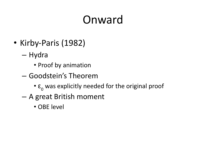# Onward

- Kirby-Paris (1982)
	- Hydra
		- Proof by animation
	- Goodstein's Theorem
		- $\cdot$   $\varepsilon$ <sub>0</sub> was explicitly needed for the original proof
	- A great British moment
		- OBE level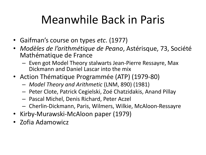## Meanwhile Back in Paris

- Gaifman's course on types *etc*. (1977)
- *• Modèles de l'arithmétique de Peano*, Astérisque, 73, Société Mathématique de France
	- Even got Model Theory stalwarts Jean-Pierre Ressayre, Max Dickmann and Daniel Lascar into the mix
- Action Thématique Programmée (ATP) (1979-80)
	- *– Model Theory and Arithmetic* (LNM, 890) (1981)
	- Peter Clote, Patrick Cegielski, Zoé Chatzidakis, Anand Pillay
	- Pascal Michel, Denis Richard, Peter Aczel
	- Cherlin-Dickmann, Paris, Wilmers, Wilkie, McAloon-Ressayre
- Kirby-Murawski-McAloon paper (1979)
- Zofia Adamowicz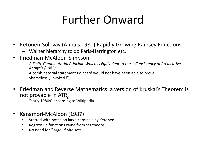## Further Onward

- Ketonen-Solovay (Annals 1981) Rapidly Growing Ramsey Functions
	- Wainer hierarchy to do Paris-Harrington etc.
- Friedman-McAloon-Simpson
	- *– A Finite Combinatorial Principle Which is Equivalent to the 1-Consistency of Predicative Analysis (1982)*
	- A combinatorial statement Poincaré would not have been able to prove
	- $-$  Shamelessly invoked  $Γ<sub>0</sub>$
- Friedman and Reverse Mathematics: a version of Kruskal's Theorem is not provable in  $ATR_0$ 
	- "early 1980s" according to Wikipedia
- Kanamori-McAloon (1987)
	- Started with notes on large cardinals by Ketonen
	- Regressive functions came from set theory
	- No need for "large" finite sets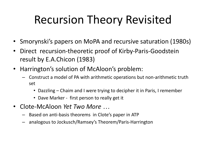# Recursion Theory Revisited

- Smorynski's papers on MoPA and recursive saturation (1980s)
- Direct recursion-theoretic proof of Kirby-Paris-Goodstein result by E.A.Chicon (1983)
- Harrington's solution of McAloon's problem:
	- Construct a model of PA with arithmetic operations but non-arithmetic truth set
		- Dazzling Chaim and I were trying to decipher it in Paris, I remember
		- Dave Marker first person to really get it
- Clote-McAloon *Yet Two More …*
	- Based on anti-basis theorems in Clote's paper in ATP
	- analogous to Jockusch/Ramsey's Theorem/Paris-Harrington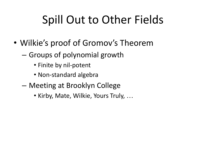# Spill Out to Other Fields

- Wilkie's proof of Gromov's Theorem
	- Groups of polynomial growth
		- Finite by nil-potent
		- Non-standard algebra
	- Meeting at Brooklyn College
		- Kirby, Mate, Wilkie, Yours Truly, …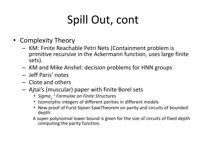# Spill Out, cont

- Complexity Theory
	- KM: Finite Reachable Petri Nets (Containment problem is primitive recursive in the Ackermann function, uses large finite sets).
	- KM and Mike Anshel: decision problems for HNN groups
	- Jeff Paris' notes
	- Clote and others
	- Ajtai's (muscular) paper with finite Borel sets
		- Sigma<sub>1</sub><sup>1</sup> Formulae on Finite Structures
		- Isomorphic integers of different parities in different models
		- New proof of Furst-Sipser-SaxeTheorem on parity and circuits of bounded depth:
		- A super-polynomial lower bound is given for the size of circuits of fixed depth computing the parity function.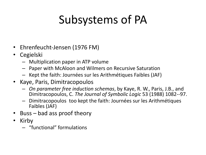# Subsystems of PA

- Ehrenfeucht-Jensen (1976 FM)
- Cegielski
	- Multiplication paper in ATP volume
	- Paper with McAloon and Wilmers on Recursive Saturation
	- Kept the faith: Journées sur les Arithmétiques Faibles (JAF)
- Kaye, Paris, Dimitracopoulos
	- *– On parameter free induction schemas*, by Kaye, R. W., Paris, J.B., and Dimitracopoulos, C. *The Journal of Symbolic Logic* 53 (1988) 1082--97.
	- Dimitracopoulos too kept the faith: Journées sur les Arithmétiques Faibles (JAF)
- Buss bad ass proof theory
- Kirby
	- "functional" formulations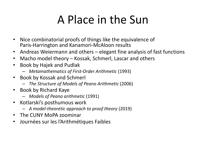## A Place in the Sun

- Nice combinatorial proofs of things like the equivalence of Paris-Harrington and Kanamori-McAloon results
- Andreas Weiermann and others elegant fine analysis of fast functions
- Macho model theory Kossak, Schmerl, Lascar and others
- Book by Hajek and Pudlak
	- *– Metamathematics of First-Order Arithmetic* (1993)
- Book by Kossak and Schmerl
	- *– The Structure of Models of Peano Arithmetic* (2006)
- Book by Richard Kaye
	- *– Models of Peano arithmetic* (1991)
- Kotlarski's posthumous work
	- *– A model-theoretic approach to proof theory* (2019)
- The CUNY MoPA zoominar
- Journées sur les l'Arithmétiques Faibles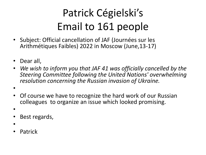### Patrick Cégielski's Email to 161 people

- Subject: Official cancellation of JAF (Journées sur les Arithmétiques Faibles) 2022 in Moscow (June,13-17)
- Dear all,
- *• We wish to inform you that JAF 41 was officially cancelled by the Steering Committee following the United Nations' overwhelming resolution concerning the Russian invasion of Ukraine.*
- •
- Of course we have to recognize the hard work of our Russian colleagues to organize an issue which looked promising.
- •
- Best regards,
- •
- Patrick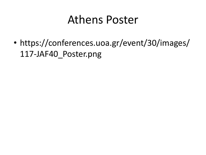#### Athens Poster

• https://conferences.uoa.gr/event/30/images/ 117-JAF40\_Poster.png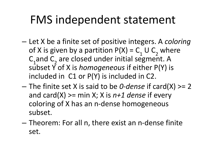### FMS independent statement

- Let X be a finite set of positive integers. A *coloring* of X is given by a partition  $P(X) = C_1 \cup C_2$  where  $C_1$  and  $C_2$  are closed under initial segment. A subset Y of X is *homogeneous* if either P(Y) is included in C1 or P(Y) is included in C2.
- The finite set X is said to be *0-dense* if card(X) >= 2 and card(X) >= min X; X is *n+1 dense* if every coloring of X has an n-dense homogeneous subset.
- Theorem: For all n, there exist an n-dense finite set.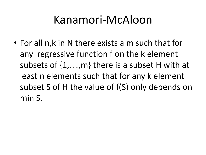### Kanamori-McAloon

• For all n,k in N there exists a m such that for any regressive function f on the k element subsets of {1,…,m} there is a subset H with at least n elements such that for any k element subset S of H the value of f(S) only depends on min S.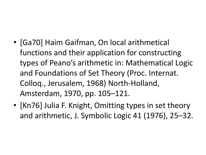- [Ga70] Haim Gaifman, On local arithmetical functions and their application for constructing types of Peano's arithmetic in: Mathematical Logic and Foundations of Set Theory (Proc. Internat. Colloq., Jerusalem, 1968) North-Holland, Amsterdam, 1970, pp. 105–121.
- [Kn76] Julia F. Knight, Omitting types in set theory and arithmetic, J. Symbolic Logic 41 (1976), 25–32.